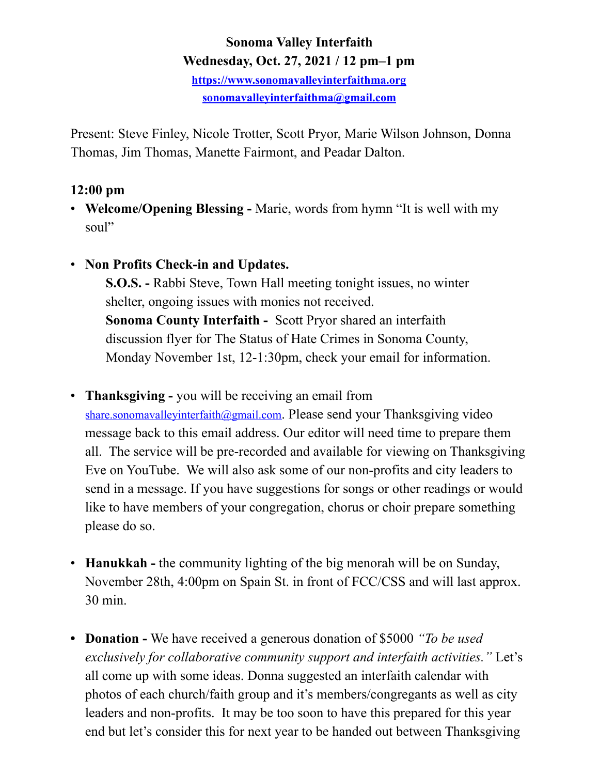# **Sonoma Valley Interfaith Wednesday, Oct. 27, 2021 / 12 pm–1 pm**

**<https://www.sonomavalleyinterfaithma.org> [sonomavalleyinterfaithma@gmail.com](mailto:sonomavalleyinterfaithma@gmail.com)**

Present: Steve Finley, Nicole Trotter, Scott Pryor, Marie Wilson Johnson, Donna Thomas, Jim Thomas, Manette Fairmont, and Peadar Dalton.

# **12:00 pm**

- **Welcome/Opening Blessing** Marie, words from hymn "It is well with my soul"
- **Non Profits Check-in and Updates.**

 **S.O.S. -** Rabbi Steve, Town Hall meeting tonight issues, no winter shelter, ongoing issues with monies not received. **Sonoma County Interfaith -** Scott Pryor shared an interfaith discussion flyer for The Status of Hate Crimes in Sonoma County, Monday November 1st, 12-1:30pm, check your email for information.

- **Thanksgiving -** you will be receiving an email from [share.sonomavalleyinterfaith@gmail.com.](mailto:share.sonomavalleyinterfaith@gmail.com) Please send your Thanksgiving video message back to this email address. Our editor will need time to prepare them all. The service will be pre-recorded and available for viewing on Thanksgiving Eve on YouTube. We will also ask some of our non-profits and city leaders to send in a message. If you have suggestions for songs or other readings or would like to have members of your congregation, chorus or choir prepare something please do so.
- **Hanukkah -** the community lighting of the big menorah will be on Sunday, November 28th, 4:00pm on Spain St. in front of FCC/CSS and will last approx. 30 min.
- **• Donation** We have received a generous donation of \$5000 *"To be used exclusively for collaborative community support and interfaith activities."* Let's all come up with some ideas. Donna suggested an interfaith calendar with photos of each church/faith group and it's members/congregants as well as city leaders and non-profits. It may be too soon to have this prepared for this year end but let's consider this for next year to be handed out between Thanksgiving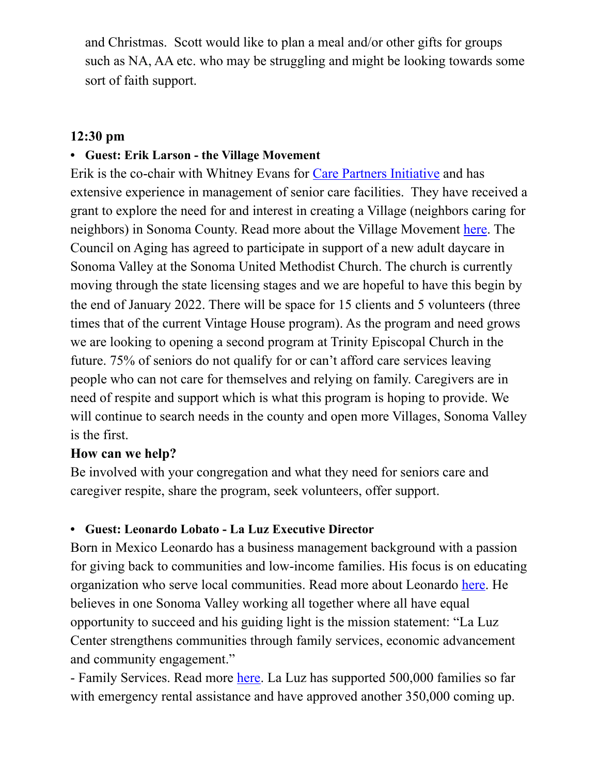and Christmas. Scott would like to plan a meal and/or other gifts for groups such as NA, AA etc. who may be struggling and might be looking towards some sort of faith support.

## **12:30 pm**

#### **• Guest: Erik Larson - the Village Movement**

Erik is the co-chair with Whitney Evans for [Care Partners Initiative](https://carepartnersinitiative.org/) and has extensive experience in management of senior care facilities. They have received a grant to explore the need for and interest in creating a Village (neighbors caring for neighbors) in Sonoma County. Read more about the Village Movement [here](https://villagemovementcalifornia.org/). The Council on Aging has agreed to participate in support of a new adult daycare in Sonoma Valley at the Sonoma United Methodist Church. The church is currently moving through the state licensing stages and we are hopeful to have this begin by the end of January 2022. There will be space for 15 clients and 5 volunteers (three times that of the current Vintage House program). As the program and need grows we are looking to opening a second program at Trinity Episcopal Church in the future. 75% of seniors do not qualify for or can't afford care services leaving people who can not care for themselves and relying on family. Caregivers are in need of respite and support which is what this program is hoping to provide. We will continue to search needs in the county and open more Villages, Sonoma Valley is the first.

#### **How can we help?**

Be involved with your congregation and what they need for seniors care and caregiver respite, share the program, seek volunteers, offer support.

#### **• Guest: Leonardo Lobato - La Luz Executive Director**

Born in Mexico Leonardo has a business management background with a passion for giving back to communities and low-income families. His focus is on educating organization who serve local communities. Read more about Leonardo [here](https://www.laluzcenter.org/executivedirector). He believes in one Sonoma Valley working all together where all have equal opportunity to succeed and his guiding light is the mission statement: "La Luz Center strengthens communities through family services, economic advancement and community engagement."

- Family Services. Read more [here](https://www.laluzcenter.org/family-services). La Luz has supported 500,000 families so far with emergency rental assistance and have approved another 350,000 coming up.